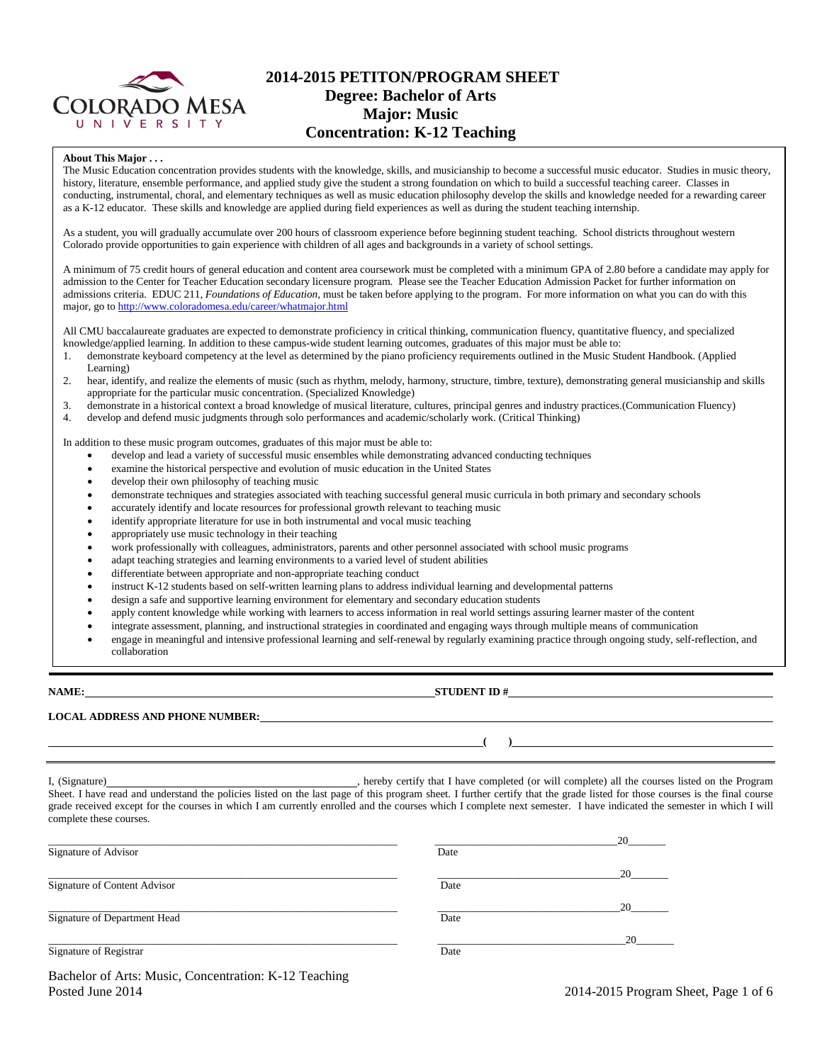

# **2014-2015 PETITON/PROGRAM SHEET Degree: Bachelor of Arts Major: Music Concentration: K-12 Teaching**

#### **About This Major . . .**

The Music Education concentration provides students with the knowledge, skills, and musicianship to become a successful music educator. Studies in music theory, history, literature, ensemble performance, and applied study give the student a strong foundation on which to build a successful teaching career. Classes in conducting, instrumental, choral, and elementary techniques as well as music education philosophy develop the skills and knowledge needed for a rewarding career as a K-12 educator. These skills and knowledge are applied during field experiences as well as during the student teaching internship.

As a student, you will gradually accumulate over 200 hours of classroom experience before beginning student teaching. School districts throughout western Colorado provide opportunities to gain experience with children of all ages and backgrounds in a variety of school settings.

A minimum of 75 credit hours of general education and content area coursework must be completed with a minimum GPA of 2.80 before a candidate may apply for admission to the Center for Teacher Education secondary licensure program. Please see the Teacher Education Admission Packet for further information on admissions criteria. EDUC 211, *Foundations of Education*, must be taken before applying to the program. For more information on what you can do with this major, go t[o http://www.coloradomesa.edu/career/whatmajor.html](http://www.coloradomesa.edu/career/whatmajor.html)

All CMU baccalaureate graduates are expected to demonstrate proficiency in critical thinking, communication fluency, quantitative fluency, and specialized knowledge/applied learning. In addition to these campus-wide student learning outcomes, graduates of this major must be able to:

- 1. demonstrate keyboard competency at the level as determined by the piano proficiency requirements outlined in the Music Student Handbook. (Applied Learning)
- 2. hear, identify, and realize the elements of music (such as rhythm, melody, harmony, structure, timbre, texture), demonstrating general musicianship and skills appropriate for the particular music concentration. (Specialized Knowledge)
- 3. demonstrate in a historical context a broad knowledge of musical literature, cultures, principal genres and industry practices.(Communication Fluency)
- 4. develop and defend music judgments through solo performances and academic/scholarly work. (Critical Thinking)

In addition to these music program outcomes, graduates of this major must be able to:

- develop and lead a variety of successful music ensembles while demonstrating advanced conducting techniques
- examine the historical perspective and evolution of music education in the United States
- develop their own philosophy of teaching music
- demonstrate techniques and strategies associated with teaching successful general music curricula in both primary and secondary schools
- accurately identify and locate resources for professional growth relevant to teaching music
- identify appropriate literature for use in both instrumental and vocal music teaching
- appropriately use music technology in their teaching
- work professionally with colleagues, administrators, parents and other personnel associated with school music programs
- adapt teaching strategies and learning environments to a varied level of student abilities
- differentiate between appropriate and non-appropriate teaching conduct
- instruct K-12 students based on self-written learning plans to address individual learning and developmental patterns
- design a safe and supportive learning environment for elementary and secondary education students
- apply content knowledge while working with learners to access information in real world settings assuring learner master of the content
- integrate assessment, planning, and instructional strategies in coordinated and engaging ways through multiple means of communication
- engage in meaningful and intensive professional learning and self-renewal by regularly examining practice through ongoing study, self-reflection, and collaboration

**NAME: STUDENT ID #**

**( )**

**LOCAL ADDRESS AND PHONE NUMBER:**

I, (Signature) **Source and Constant Constant Constant Constant Constant Constant Constant Constant Constant Constant Constant Constant Constant Constant Constant Constant Constant Constant Constant Constant Constant Consta** Sheet. I have read and understand the policies listed on the last page of this program sheet. I further certify that the grade listed for those courses is the final course grade received except for the courses in which I am currently enrolled and the courses which I complete next semester. I have indicated the semester in which I will complete these courses.

| Signature of Advisor         | Date | 20 |
|------------------------------|------|----|
| Signature of Content Advisor | Date | 20 |
| Signature of Department Head | Date | 20 |
| Signature of Registrar       | Date | 20 |

Bachelor of Arts: Music, Concentration: K-12 Teaching Posted June 2014 2015 Program Sheet, Page 1 of 6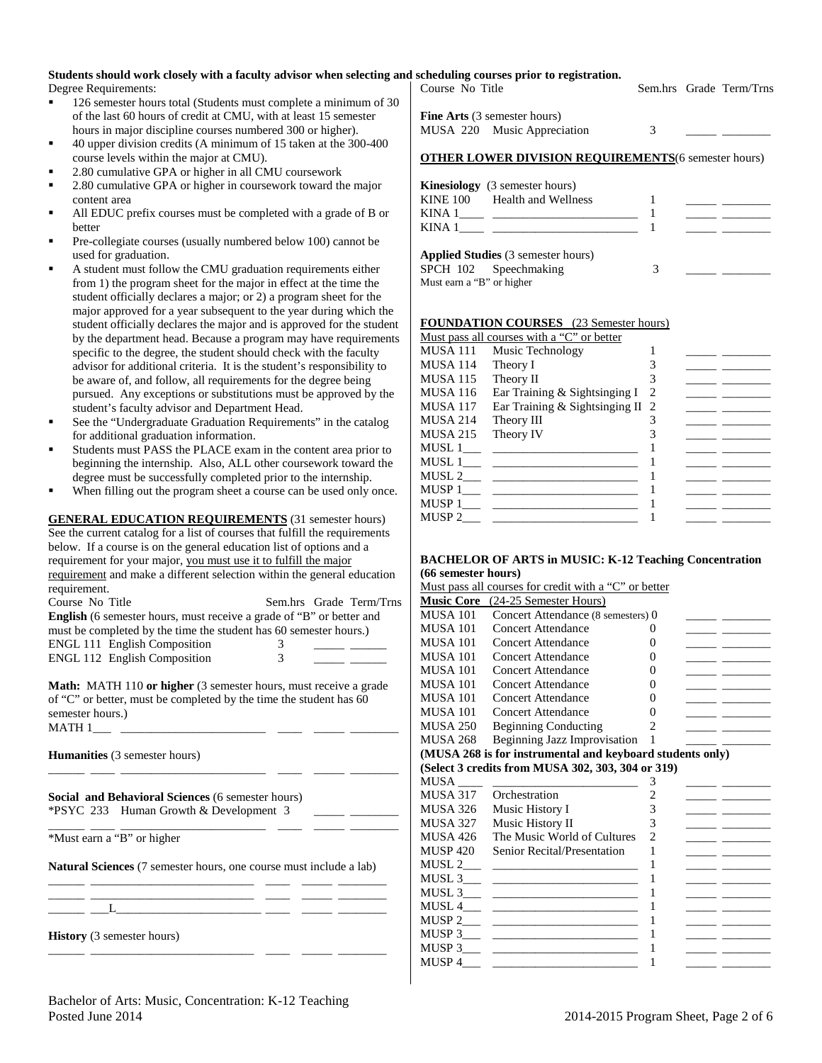# **Students should work closely with a faculty advisor when selecting and scheduling courses prior to registration.**

Degree Requirements:

- <sup>126</sup> semester hours total (Students must complete a minimum of 30 of the last 60 hours of credit at CMU, with at least 15 semester hours in major discipline courses numbered 300 or higher).
- 40 upper division credits (A minimum of 15 taken at the 300-400 course levels within the major at CMU).
- 2.80 cumulative GPA or higher in all CMU coursework
- 2.80 cumulative GPA or higher in coursework toward the major content area
- All EDUC prefix courses must be completed with a grade of B or better
- Pre-collegiate courses (usually numbered below 100) cannot be used for graduation.
- A student must follow the CMU graduation requirements either from 1) the program sheet for the major in effect at the time the student officially declares a major; or 2) a program sheet for the major approved for a year subsequent to the year during which the student officially declares the major and is approved for the student by the department head. Because a program may have requirements specific to the degree, the student should check with the faculty advisor for additional criteria. It is the student's responsibility to be aware of, and follow, all requirements for the degree being pursued. Any exceptions or substitutions must be approved by the student's faculty advisor and Department Head.
- See the "Undergraduate Graduation Requirements" in the catalog for additional graduation information.
- Students must PASS the PLACE exam in the content area prior to beginning the internship. Also, ALL other coursework toward the degree must be successfully completed prior to the internship.
- When filling out the program sheet a course can be used only once.

**GENERAL EDUCATION REQUIREMENTS** (31 semester hours) See the current catalog for a list of courses that fulfill the requirements below. If a course is on the general education list of options and a requirement for your major, you must use it to fulfill the major requirement and make a different selection within the general education requirement.

| Course No Title                                                             |          | Sem.hrs Grade Term/Trns |
|-----------------------------------------------------------------------------|----------|-------------------------|
| <b>English</b> (6 semester hours, must receive a grade of "B" or better and |          |                         |
| must be completed by the time the student has 60 semester hours.)           |          |                         |
| <b>ENGL 111 English Composition</b>                                         | $\Delta$ |                         |
| <b>ENGL 112 English Composition</b>                                         | 3        |                         |

**Math:** MATH 110 **or higher** (3 semester hours, must receive a grade of "C" or better, must be completed by the time the student has 60 semester hours.)  $MATH 1$ <sub>\_\_\_\_\_</sub>\_\_

\_\_\_\_\_\_ \_\_\_\_ \_\_\_\_\_\_\_\_\_\_\_\_\_\_\_\_\_\_\_\_\_\_\_\_ \_\_\_\_ \_\_\_\_\_ \_\_\_\_\_\_\_\_

**Humanities** (3 semester hours)

**Social and Behavioral Sciences** (6 semester hours) \*PSYC 233 Human Growth & Development 3 \_\_\_\_\_ \_\_\_\_\_\_\_\_

\_\_\_\_\_\_ \_\_\_\_ \_\_\_\_\_\_\_\_\_\_\_\_\_\_\_\_\_\_\_\_\_\_\_\_ \_\_\_\_ \_\_\_\_\_ \_\_\_\_\_\_\_\_ \*Must earn a "B" or higher

**Natural Sciences** (7 semester hours, one course must include a lab) \_\_\_\_\_\_ \_\_\_\_\_\_\_\_\_\_\_\_\_\_\_\_\_\_\_\_\_\_\_\_\_\_\_ \_\_\_\_ \_\_\_\_\_ \_\_\_\_\_\_\_\_

\_\_\_\_\_\_ \_\_\_\_\_\_\_\_\_\_\_\_\_\_\_\_\_\_\_\_\_\_\_\_\_\_\_ \_\_\_\_ \_\_\_\_\_ \_\_\_\_\_\_\_\_ \_\_\_\_\_\_ \_\_\_L\_\_\_\_\_\_\_\_\_\_\_\_\_\_\_\_\_\_\_\_\_\_\_\_ \_\_\_\_ \_\_\_\_\_ \_\_\_\_\_\_\_\_

\_\_\_\_\_\_ \_\_\_\_\_\_\_\_\_\_\_\_\_\_\_\_\_\_\_\_\_\_\_\_\_\_\_ \_\_\_\_ \_\_\_\_\_ \_\_\_\_\_\_\_\_

**History** (3 semester hours)

| $\frac{1}{2}$<br>Course No Title                                   |   | Sem.hrs Grade Term/Trns |
|--------------------------------------------------------------------|---|-------------------------|
| <b>Fine Arts</b> (3 semester hours)<br>MUSA 220 Music Appreciation | 3 |                         |

| <b>OTHER LOWER DIVISION REQUIREMENTS</b> (6 semester hours) |
|-------------------------------------------------------------|
|-------------------------------------------------------------|

|        | <b>Kinesiology</b> (3 semester hours) |  |  |
|--------|---------------------------------------|--|--|
|        | KINE 100 Health and Wellness          |  |  |
| KINA 1 |                                       |  |  |
| KINA 1 |                                       |  |  |
|        | Applied Chidise (2 compator hours)    |  |  |

|                           | <b>Applied Studies</b> (3 semester hours) |  |  |
|---------------------------|-------------------------------------------|--|--|
|                           | SPCH 102 Speechmaking                     |  |  |
| Must earn a "B" or higher |                                           |  |  |

### **FOUNDATION COURSES** (23 Semester hours)

|          | Must pass all courses with a "C" or better |   |  |
|----------|--------------------------------------------|---|--|
| MUSA 111 | Music Technology                           |   |  |
| MUSA 114 | Theory I                                   |   |  |
| MUSA 115 | Theory II                                  |   |  |
| MUSA 116 | Ear Training & Sightsinging I              | 2 |  |
| MUSA 117 | Ear Training & Sightsinging II 2           |   |  |
| MUSA 214 | Theory III                                 |   |  |
| MUSA 215 | Theory IV                                  |   |  |
| MUSL 1   |                                            |   |  |
| MUSL 1   |                                            |   |  |
| MUSL 2   |                                            |   |  |
| MUSP 1   |                                            |   |  |
| MUSP 1   |                                            |   |  |
| MUSP 2   |                                            |   |  |
|          |                                            |   |  |

### **BACHELOR OF ARTS in MUSIC: K-12 Teaching Concentration (66 semester hours)**

|                   | Must pass all courses for credit with a "C" or better     |                |  |
|-------------------|-----------------------------------------------------------|----------------|--|
| <b>Music Core</b> | (24-25 Semester Hours)                                    |                |  |
| <b>MUSA 101</b>   | Concert Attendance (8 semesters) 0                        |                |  |
| <b>MUSA 101</b>   | Concert Attendance                                        | 0              |  |
| <b>MUSA 101</b>   | Concert Attendance                                        | 0              |  |
| <b>MUSA 101</b>   | <b>Concert Attendance</b>                                 | 0              |  |
| <b>MUSA 101</b>   | <b>Concert Attendance</b>                                 | 0              |  |
| <b>MUSA 101</b>   | Concert Attendance                                        | 0              |  |
| <b>MUSA 101</b>   | <b>Concert Attendance</b>                                 | 0              |  |
| <b>MUSA 101</b>   | <b>Concert Attendance</b>                                 | 0              |  |
| <b>MUSA 250</b>   | <b>Beginning Conducting</b>                               | $\overline{c}$ |  |
| <b>MUSA 268</b>   | <b>Beginning Jazz Improvisation</b>                       | 1              |  |
|                   | (MUSA 268 is for instrumental and keyboard students only) |                |  |
|                   | (Select 3 credits from MUSA 302, 303, 304 or 319)         |                |  |
| <b>MUSA</b>       |                                                           | 3              |  |
|                   |                                                           |                |  |
| MUSA 317          | Orchestration                                             | $\overline{2}$ |  |
| <b>MUSA 326</b>   | Music History I                                           | 3              |  |
| <b>MUSA 327</b>   | Music History II                                          | 3              |  |
| <b>MUSA 426</b>   | The Music World of Cultures                               | $\overline{2}$ |  |
| <b>MUSP 420</b>   | Senior Recital/Presentation                               | 1              |  |
| MUSL 2            |                                                           |                |  |
| MUSL 3            |                                                           | 1              |  |
| MUSL 3            | <u> 2002 - John Stein, Amerikaansk politiker (</u>        | 1              |  |
| MUSL 4            |                                                           | 1              |  |
|                   |                                                           | 1              |  |
| MUSP 3            | <u> 1980 - Andrea Stadt Britain, amerikansk politik (</u> | 1              |  |
| MUSP 3            |                                                           | 1              |  |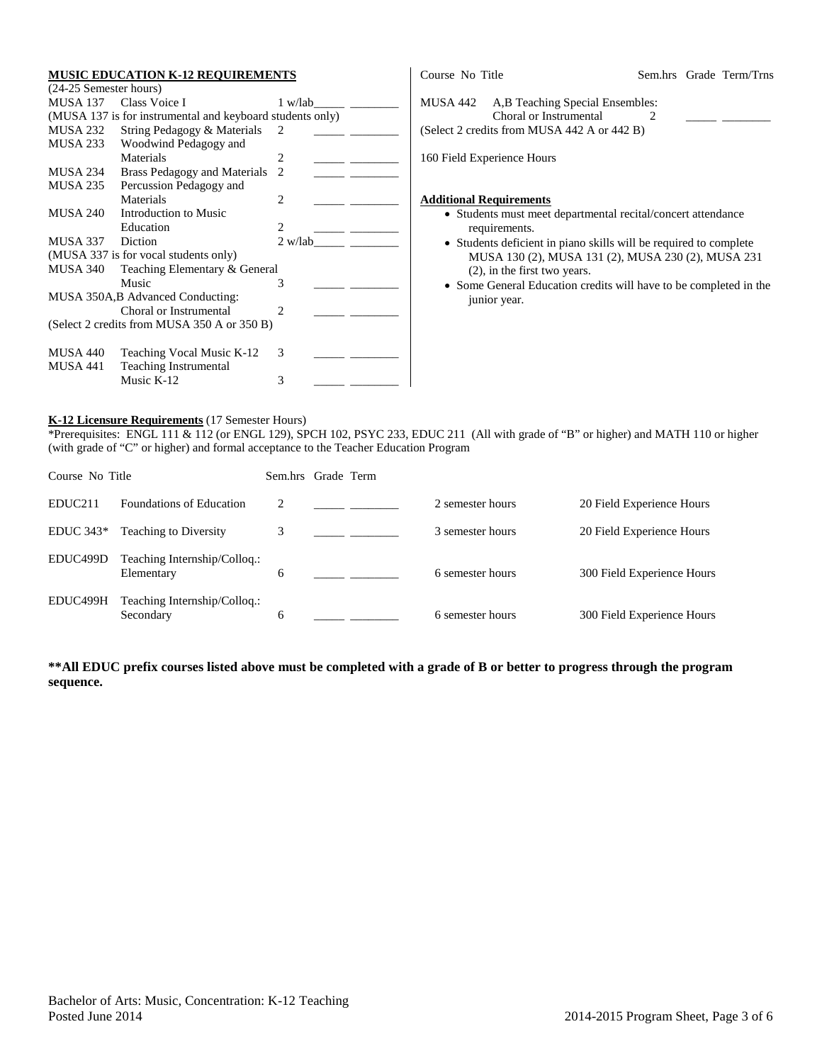# **MUSIC EDUCATION K-12 REQUIREMENTS**

| (24-25 Semester hours) |                                                           |                               |
|------------------------|-----------------------------------------------------------|-------------------------------|
| MUSA 137               | Class Voice I                                             | 1 w/lab                       |
|                        | (MUSA 137 is for instrumental and keyboard students only) |                               |
| MUSA 232               | String Pedagogy & Materials                               | $\mathfrak{D}_{\mathfrak{p}}$ |
| MUSA 233               | Woodwind Pedagogy and                                     |                               |
|                        | Materials                                                 | 2                             |
| MUSA 234               | Brass Pedagogy and Materials                              | $\mathcal{D}_{\mathcal{L}}$   |
| MUSA 235               | Percussion Pedagogy and                                   |                               |
|                        | Materials                                                 | $\mathfrak{D}_{\mathfrak{p}}$ |
| MUSA 240               | Introduction to Music                                     |                               |
|                        | Education                                                 | $\mathfrak{D}_{\mathfrak{p}}$ |
| MUSA 337 Diction       |                                                           | 2 w/lab                       |
|                        |                                                           |                               |
|                        | (MUSA 337 is for vocal students only)                     |                               |
| <b>MUSA 340</b>        | Teaching Elementary & General                             |                               |
|                        | Music                                                     | 3                             |
|                        | MUSA 350A, B Advanced Conducting:                         |                               |
|                        | Choral or Instrumental                                    | $\mathfrak{D}$                |
|                        | (Select 2 credits from MUSA 350 A or 350 B)               |                               |
|                        |                                                           |                               |
| MUSA 440               | Teaching Vocal Music K-12                                 | 3                             |
| MUSA 441               | <b>Teaching Instrumental</b>                              |                               |

Course No Title Sem.hrs Grade Term/Trns MUSA 442 A,B Teaching Special Ensembles: Choral or Instrumental 2 (Select 2 credits from MUSA 442 A or 442 B) 160 Field Experience Hours **Additional Requirements** • Students must meet departmental recital/concert attendance

- requirements. • Students deficient in piano skills will be required to complete
	- MUSA 130 (2), MUSA 131 (2), MUSA 230 (2), MUSA 231 (2), in the first two years.
- Some General Education credits will have to be completed in the junior year.

## **K-12 Licensure Requirements** (17 Semester Hours)

\*Prerequisites: ENGL 111 & 112 (or ENGL 129), SPCH 102, PSYC 233, EDUC 211 (All with grade of "B" or higher) and MATH 110 or higher (with grade of "C" or higher) and formal acceptance to the Teacher Education Program

| Course No Title     |                                            |   | Sem.hrs Grade Term |                  |                            |
|---------------------|--------------------------------------------|---|--------------------|------------------|----------------------------|
| EDUC <sub>211</sub> | Foundations of Education                   | 2 |                    | 2 semester hours | 20 Field Experience Hours  |
| $EDUC 343*$         | <b>Teaching to Diversity</b>               | 3 |                    | 3 semester hours | 20 Field Experience Hours  |
| EDUC499D            | Teaching Internship/Colloq.:<br>Elementary | 6 |                    | 6 semester hours | 300 Field Experience Hours |
| EDUC499H            | Teaching Internship/Colloq.:<br>Secondary  | 6 |                    | 6 semester hours | 300 Field Experience Hours |

**\*\*All EDUC prefix courses listed above must be completed with a grade of B or better to progress through the program sequence.**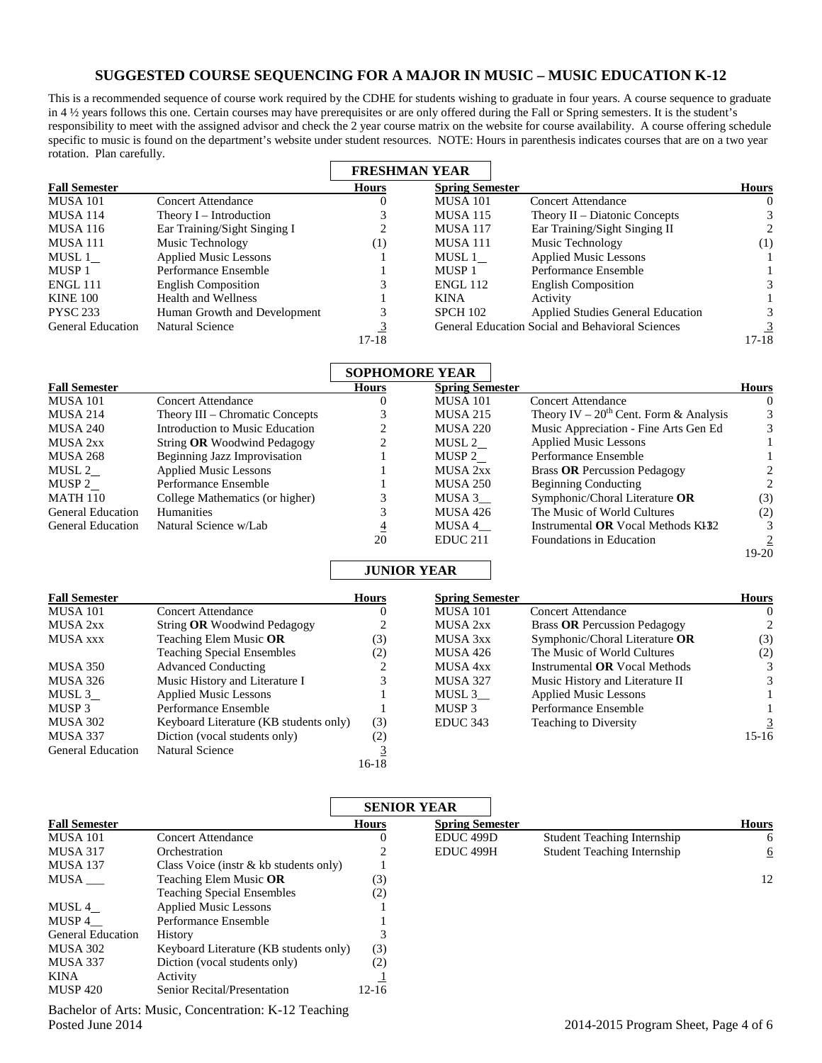## **SUGGESTED COURSE SEQUENCING FOR A MAJOR IN MUSIC – MUSIC EDUCATION K-12**

This is a recommended sequence of course work required by the CDHE for students wishing to graduate in four years. A course sequence to graduate in 4 ½ years follows this one. Certain courses may have prerequisites or are only offered during the Fall or Spring semesters. It is the student's responsibility to meet with the assigned advisor and check the 2 year course matrix on the website for course availability. A course offering schedule specific to music is found on the department's website under student resources. NOTE: Hours in parenthesis indicates courses that are on a two year rotation. Plan carefully.

|                          |                              | <b>FRESHMAN YEAR</b> |                        |                                                         |              |
|--------------------------|------------------------------|----------------------|------------------------|---------------------------------------------------------|--------------|
| <b>Fall Semester</b>     |                              | <b>Hours</b>         | <b>Spring Semester</b> |                                                         | <b>Hours</b> |
| <b>MUSA 101</b>          | <b>Concert Attendance</b>    |                      | <b>MUSA 101</b>        | <b>Concert Attendance</b>                               | $\theta$     |
| <b>MUSA 114</b>          | Theory $I$ – Introduction    |                      | <b>MUSA 115</b>        | Theory II – Diatonic Concepts                           |              |
| <b>MUSA 116</b>          | Ear Training/Sight Singing I |                      | <b>MUSA 117</b>        | Ear Training/Sight Singing II                           | 2            |
| MUSA 111                 | Music Technology             | $\scriptstyle{(1)}$  | MUSA 111               | Music Technology                                        | (1)          |
| MUSL 1                   | <b>Applied Music Lessons</b> |                      | MUSL 1                 | <b>Applied Music Lessons</b>                            |              |
| MUSP 1                   | Performance Ensemble         |                      | MUSP <sub>1</sub>      | Performance Ensemble                                    |              |
| <b>ENGL 111</b>          | <b>English Composition</b>   |                      | <b>ENGL 112</b>        | <b>English Composition</b>                              |              |
| <b>KINE 100</b>          | Health and Wellness          |                      | <b>KINA</b>            | Activity                                                |              |
| <b>PYSC 233</b>          | Human Growth and Development |                      | <b>SPCH 102</b>        | <b>Applied Studies General Education</b>                |              |
| <b>General Education</b> | Natural Science              |                      |                        | <b>General Education Social and Behavioral Sciences</b> |              |
|                          |                              | $17-18$              |                        |                                                         | 17-18        |

|                          |                                     | <b>SOPHOMORE YEAR</b> |                        |                                             |              |
|--------------------------|-------------------------------------|-----------------------|------------------------|---------------------------------------------|--------------|
| <b>Fall Semester</b>     |                                     | <b>Hours</b>          | <b>Spring Semester</b> |                                             | <b>Hours</b> |
| <b>MUSA 101</b>          | Concert Attendance                  |                       | MUSA 101               | Concert Attendance                          | O            |
| <b>MUSA 214</b>          | Theory III – Chromatic Concepts     |                       | <b>MUSA 215</b>        | Theory IV – $20^{th}$ Cent. Form & Analysis |              |
| <b>MUSA 240</b>          | Introduction to Music Education     |                       | <b>MUSA 220</b>        | Music Appreciation - Fine Arts Gen Ed       | 3            |
| MUSA 2xx                 | String <b>OR</b> Woodwind Pedagogy  |                       | MUSL 2                 | <b>Applied Music Lessons</b>                |              |
| <b>MUSA 268</b>          | <b>Beginning Jazz Improvisation</b> |                       | MUSP 2                 | Performance Ensemble                        |              |
| MUSL 2                   | <b>Applied Music Lessons</b>        |                       | <b>MUSA 2xx</b>        | Brass OR Percussion Pedagogy                |              |
| MUSP 2                   | Performance Ensemble                |                       | <b>MUSA 250</b>        | <b>Beginning Conducting</b>                 |              |
| <b>MATH 110</b>          | College Mathematics (or higher)     |                       | MUSA 3                 | Symphonic/Choral Literature OR              | (3)          |
| <b>General Education</b> | <b>Humanities</b>                   |                       | <b>MUSA 426</b>        | The Music of World Cultures                 | (2)          |
| <b>General Education</b> | Natural Science w/Lab               |                       | MUSA 4                 | Instrumental OR Vocal Methods K132          |              |
|                          |                                     | 20                    | EDUC <sub>211</sub>    | Foundations in Education                    |              |

## **JUNIOR YEAR**

| <b>Fall Semester</b>     |                                        | Hours | <b>Spring Semester</b> |                                      | <b>Hours</b> |
|--------------------------|----------------------------------------|-------|------------------------|--------------------------------------|--------------|
| <b>MUSA 101</b>          | <b>Concert Attendance</b>              |       | <b>MUSA 101</b>        | <b>Concert Attendance</b>            |              |
| MUSA 2xx                 | String OR Woodwind Pedagogy            |       | MUSA 2xx               | <b>Brass OR Percussion Pedagogy</b>  |              |
| MUSA xxx                 | Teaching Elem Music OR                 | (3)   | MUSA 3xx               | Symphonic/Choral Literature OR       | (3)          |
|                          | <b>Teaching Special Ensembles</b>      | (2)   | MUSA 426               | The Music of World Cultures          | (2)          |
| MUSA 350                 | <b>Advanced Conducting</b>             |       | MUSA 4xx               | Instrumental <b>OR</b> Vocal Methods |              |
| MUSA 326                 | Music History and Literature I         |       | <b>MUSA 327</b>        | Music History and Literature II      |              |
| MUSL 3                   | <b>Applied Music Lessons</b>           |       | MUSL 3                 | <b>Applied Music Lessons</b>         |              |
| MUSP 3                   | Performance Ensemble                   |       | MUSP 3                 | Performance Ensemble                 |              |
| MUSA 302                 | Keyboard Literature (KB students only) | (3)   | EDUC 343               | <b>Teaching to Diversity</b>         |              |
| MUSA 337                 | Diction (vocal students only)          | (2)   |                        |                                      | $15-16$      |
| <b>General Education</b> | Natural Science                        |       |                        |                                      |              |
|                          |                                        | 16-18 |                        |                                      |              |

| <b>Fall Semester</b>     |                                                            | <b>SENIOR YEAR</b> |                        |                                    |              |  |
|--------------------------|------------------------------------------------------------|--------------------|------------------------|------------------------------------|--------------|--|
|                          |                                                            | <b>Hours</b>       | <b>Spring Semester</b> |                                    | <b>Hours</b> |  |
| <b>MUSA 101</b>          | <b>Concert Attendance</b>                                  |                    | EDUC <sub>499</sub> D  | <b>Student Teaching Internship</b> | 6            |  |
| <b>MUSA 317</b>          | Orchestration                                              |                    | EDUC 499H              | <b>Student Teaching Internship</b> | 6            |  |
| <b>MUSA 137</b>          | Class Voice (instr $\&$ kb students only)                  |                    |                        |                                    |              |  |
| MUSA                     | Teaching Elem Music <b>OR</b>                              | (3)                |                        |                                    | 12           |  |
|                          | <b>Teaching Special Ensembles</b>                          | (2)                |                        |                                    |              |  |
| MUSL 4                   | <b>Applied Music Lessons</b>                               |                    |                        |                                    |              |  |
| MUSP 4                   | Performance Ensemble                                       |                    |                        |                                    |              |  |
| <b>General Education</b> | History                                                    |                    |                        |                                    |              |  |
| <b>MUSA 302</b>          | Keyboard Literature (KB students only)                     | (3)                |                        |                                    |              |  |
| MUSA 337                 | Diction (vocal students only)                              | (2)                |                        |                                    |              |  |
| <b>KINA</b>              | Activity                                                   |                    |                        |                                    |              |  |
| <b>MUSP 420</b>          | Senior Recital/Presentation                                | 12-16              |                        |                                    |              |  |
|                          | $D$ echolog of Arte: Music, Concentration: $V$ 12 Teaching |                    |                        |                                    |              |  |

Bachelor of Arts: Music, Concentration: K-12 Teaching Posted June 2014 2015 Program Sheet, Page 4 of 6

 $19-20$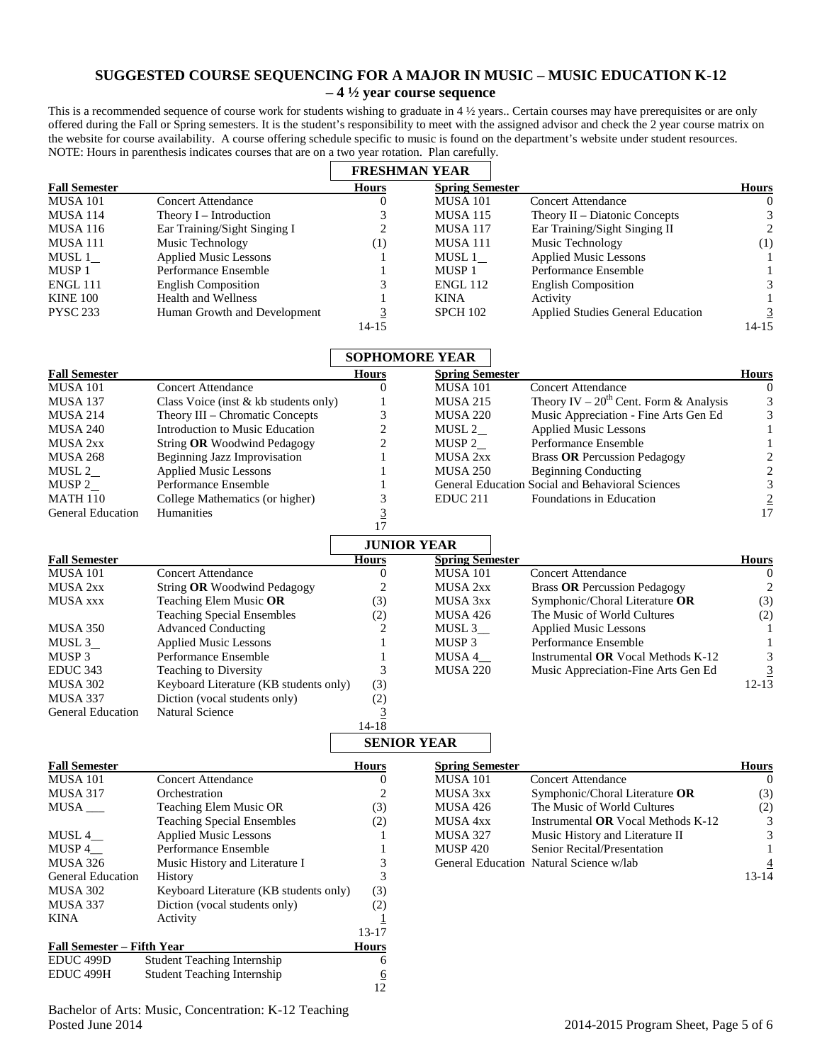## **SUGGESTED COURSE SEQUENCING FOR A MAJOR IN MUSIC – MUSIC EDUCATION K-12 – 4 ½ year course sequence**

This is a recommended sequence of course work for students wishing to graduate in 4 ½ years.. Certain courses may have prerequisites or are only offered during the Fall or Spring semesters. It is the student's responsibility to meet with the assigned advisor and check the 2 year course matrix on the website for course availability. A course offering schedule specific to music is found on the department's website under student resources. NOTE: Hours in parenthesis indicates courses that are on a two year rotation. Plan carefully.

|                                   |                                        |                  | <b>FRESHMAN YEAR</b>   |                                                  |                  |
|-----------------------------------|----------------------------------------|------------------|------------------------|--------------------------------------------------|------------------|
| <b>Fall Semester</b>              |                                        | <b>Hours</b>     | <b>Spring Semester</b> |                                                  | <b>Hours</b>     |
| <b>MUSA 101</b>                   | <b>Concert Attendance</b>              | $\mathbf{0}$     | <b>MUSA 101</b>        | <b>Concert Attendance</b>                        | $\mathbf{0}$     |
| MUSA 114                          | Theory I – Introduction                | 3                | <b>MUSA 115</b>        | Theory $II$ – Diatonic Concepts                  | 3                |
| <b>MUSA 116</b>                   | Ear Training/Sight Singing I           | $\overline{c}$   | <b>MUSA 117</b>        | Ear Training/Sight Singing II                    | $\sqrt{2}$       |
| <b>MUSA 111</b>                   | Music Technology                       | (1)              | MUSA 111               | Music Technology                                 | (1)              |
| MUSL $1$                          | <b>Applied Music Lessons</b>           | 1                | MUSL $1$               | <b>Applied Music Lessons</b>                     | 1                |
| MUSP <sub>1</sub>                 | Performance Ensemble                   | 1                | MUSP <sub>1</sub>      | Performance Ensemble                             | 1                |
| <b>ENGL 111</b>                   | <b>English Composition</b>             | 3                | <b>ENGL 112</b>        | <b>English Composition</b>                       | 3                |
| <b>KINE 100</b>                   | <b>Health and Wellness</b>             |                  | <b>KINA</b>            | Activity                                         | 1                |
| <b>PYSC 233</b>                   | Human Growth and Development           | 3                | <b>SPCH 102</b>        | Applied Studies General Education                | $\overline{3}$   |
|                                   |                                        | $14-15$          |                        |                                                  | $14 - 15$        |
|                                   |                                        |                  | <b>SOPHOMORE YEAR</b>  |                                                  |                  |
|                                   |                                        | <b>Hours</b>     |                        |                                                  |                  |
| <b>Fall Semester</b>              |                                        |                  | <b>Spring Semester</b> |                                                  | <b>Hours</b>     |
| <b>MUSA 101</b>                   | <b>Concert Attendance</b>              | $\boldsymbol{0}$ | <b>MUSA 101</b>        | <b>Concert Attendance</b>                        | $\boldsymbol{0}$ |
| MUSA 137                          | Class Voice (inst & kb students only)  | 1                | <b>MUSA 215</b>        | Theory IV – $20^{th}$ Cent. Form & Analysis      | 3                |
| MUSA 214                          | Theory III – Chromatic Concepts        | 3                | <b>MUSA 220</b>        | Music Appreciation - Fine Arts Gen Ed            | $\mathfrak{Z}$   |
| <b>MUSA 240</b>                   | Introduction to Music Education        | 2                | MUSL $2$               | <b>Applied Music Lessons</b>                     | $\mathbf{1}$     |
| MUSA 2xx                          | String OR Woodwind Pedagogy            | $\overline{c}$   | MUSP <sub>2</sub>      | Performance Ensemble                             | $\mathbf{1}$     |
| <b>MUSA 268</b>                   | <b>Beginning Jazz Improvisation</b>    | 1                | MUSA 2xx               | <b>Brass OR Percussion Pedagogy</b>              | $\sqrt{2}$       |
| MUSL $2$                          | <b>Applied Music Lessons</b>           | 1                | <b>MUSA 250</b>        | <b>Beginning Conducting</b>                      | $\overline{c}$   |
| MUSP <sub>2</sub>                 | Performance Ensemble                   | 1                |                        | General Education Social and Behavioral Sciences | 3                |
| <b>MATH 110</b>                   | College Mathematics (or higher)        | 3                | EDUC <sub>211</sub>    | Foundations in Education                         |                  |
| <b>General Education</b>          | <b>Humanities</b>                      | $\overline{3}$   |                        |                                                  | $\frac{2}{17}$   |
|                                   |                                        | 17               |                        |                                                  |                  |
|                                   |                                        |                  | <b>JUNIOR YEAR</b>     |                                                  |                  |
| <b>Fall Semester</b>              |                                        | <b>Hours</b>     | <b>Spring Semester</b> |                                                  | <b>Hours</b>     |
| <b>MUSA 101</b>                   | <b>Concert Attendance</b>              | $\boldsymbol{0}$ | <b>MUSA 101</b>        | <b>Concert Attendance</b>                        | $\boldsymbol{0}$ |
| MUSA 2xx                          | String OR Woodwind Pedagogy            | 2                | MUSA 2xx               | <b>Brass OR Percussion Pedagogy</b>              | $\overline{2}$   |
| <b>MUSA xxx</b>                   |                                        |                  |                        |                                                  |                  |
|                                   | Teaching Elem Music OR                 | (3)              | MUSA 3xx               | Symphonic/Choral Literature OR                   | (3)              |
|                                   | <b>Teaching Special Ensembles</b>      | (2)              | MUSA 426               | The Music of World Cultures                      | (2)              |
| MUSA 350                          | <b>Advanced Conducting</b>             | 2                | $MUSL 3$ <sub>—</sub>  | <b>Applied Music Lessons</b>                     | -1               |
| MUSL 3                            | <b>Applied Music Lessons</b>           | 1                | MUSP <sub>3</sub>      | Performance Ensemble                             | 1                |
| MUSP <sub>3</sub>                 | Performance Ensemble                   | 1                | MUSA 4_                | Instrumental OR Vocal Methods K-12               | 3                |
| EDUC 343                          | Teaching to Diversity                  | 3                | <b>MUSA 220</b>        | Music Appreciation-Fine Arts Gen Ed              | $\overline{3}$   |
| <b>MUSA 302</b>                   | Keyboard Literature (KB students only) | (3)              |                        |                                                  | $12-13$          |
| MUSA 337                          | Diction (vocal students only)          | (2)              |                        |                                                  |                  |
| <b>General Education</b>          | Natural Science                        | $\overline{3}$   |                        |                                                  |                  |
|                                   |                                        | $14-18$          |                        |                                                  |                  |
|                                   |                                        |                  | <b>SENIOR YEAR</b>     |                                                  |                  |
| <b>Fall Semester</b>              |                                        | <b>Hours</b>     | <b>Spring Semester</b> |                                                  | <b>Hours</b>     |
| <b>MUSA 101</b>                   | <b>Concert Attendance</b>              | $\boldsymbol{0}$ | <b>MUSA 101</b>        | <b>Concert Attendance</b>                        | $\boldsymbol{0}$ |
| <b>MUSA 317</b>                   | Orchestration                          | 2                | MUSA 3xx               | Symphonic/Choral Literature OR                   | (3)              |
| $MUSA$ <sub>——</sub>              | Teaching Elem Music OR                 | (3)              | MUSA 426               | The Music of World Cultures                      | (2)              |
|                                   | <b>Teaching Special Ensembles</b>      | (2)              | MUSA 4xx               | Instrumental OR Vocal Methods K-12               | 3                |
| MUSL $4$ <sub>--</sub>            | <b>Applied Music Lessons</b>           | 1                | <b>MUSA 327</b>        | Music History and Literature II                  | 3                |
| MUSP 4_                           | Performance Ensemble                   | 1                | <b>MUSP 420</b>        | Senior Recital/Presentation                      | 1                |
|                                   |                                        |                  |                        |                                                  |                  |
| <b>MUSA 326</b>                   | Music History and Literature I         | 3                |                        | General Education Natural Science w/lab          | $\overline{4}$   |
| <b>General Education</b>          | History                                | 3                |                        |                                                  | $13 - 14$        |
| <b>MUSA 302</b>                   | Keyboard Literature (KB students only) | (3)              |                        |                                                  |                  |
| MUSA 337                          | Diction (vocal students only)          | (2)              |                        |                                                  |                  |
| <b>KINA</b>                       | Activity                               | $\overline{1}$   |                        |                                                  |                  |
|                                   |                                        | 13-17            |                        |                                                  |                  |
| <b>Fall Semester - Fifth Year</b> |                                        | <b>Hours</b>     |                        |                                                  |                  |
| EDUC 499D                         | <b>Student Teaching Internship</b>     | 6                |                        |                                                  |                  |
| EDUC 499H                         | <b>Student Teaching Internship</b>     | 6                |                        |                                                  |                  |
|                                   |                                        | 12               |                        |                                                  |                  |